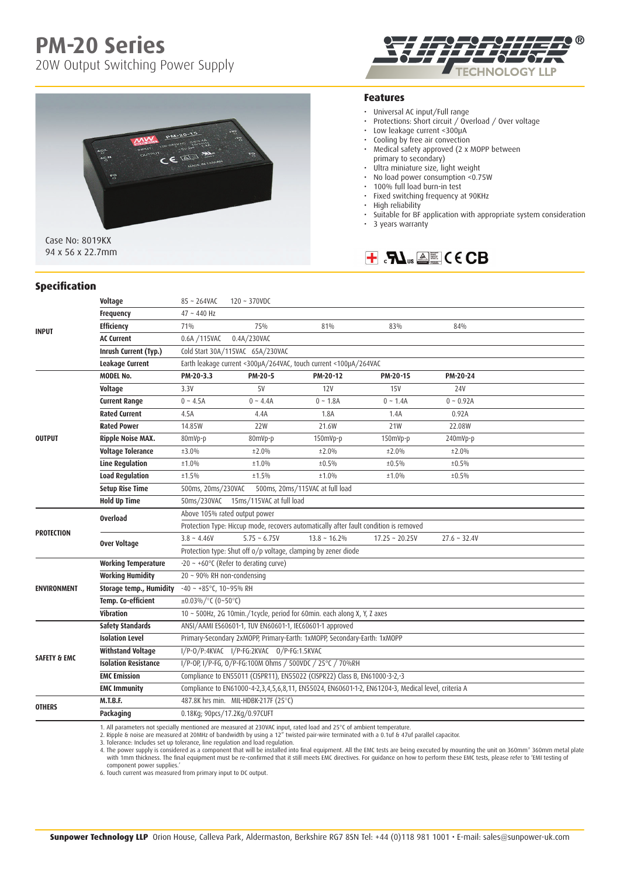# **PM-20 Series**

20W Output Switching Power Supply





Case No: 8019KX 94 x 56 x 22.7mm

#### **Features**

- Universal AC input/Full range
- Protections: Short circuit / Overload / Over voltage
- Low leakage current <300µA
- Cooling by free air convection
- Medical safety approved (2 x MOPP between primary to secondary)
- Ultra miniature size, light weight
- No load power consumption <0.75W
- 100% full load burn-in test
- Fixed switching frequency at 90KHz<br>• High reliability
- High reliability
- Suitable for BF application with appropriate system consideration
- 3 years warranty



#### **Specification**

| <b>INPUT</b>            | Voltage                     | $85 - 264$ VAC                                                                                     | $120 - 370$ VDC                                                                    |                    |                     |                |  |
|-------------------------|-----------------------------|----------------------------------------------------------------------------------------------------|------------------------------------------------------------------------------------|--------------------|---------------------|----------------|--|
|                         | Frequency                   | $47 - 440$ Hz                                                                                      |                                                                                    |                    |                     |                |  |
|                         | <b>Efficiency</b>           | 71%                                                                                                | 75%                                                                                | 81%                | 83%                 | 84%            |  |
|                         | <b>AC Current</b>           | 0.6A /115VAC                                                                                       | 0.4A/230VAC                                                                        |                    |                     |                |  |
|                         | Inrush Current (Typ.)       | Cold Start 30A/115VAC 65A/230VAC                                                                   |                                                                                    |                    |                     |                |  |
|                         | Leakage Current             | Earth leakage current <300µA/264VAC, touch current <100µA/264VAC                                   |                                                                                    |                    |                     |                |  |
| <b>OUTPUT</b>           | <b>MODEL No.</b>            | PM-20-3.3                                                                                          | PM-20-5                                                                            | PM-20-12           | PM-20-15            | PM-20-24       |  |
|                         | Voltage                     | 3.3V                                                                                               | <b>5V</b>                                                                          | 12V                | <b>15V</b>          | <b>24V</b>     |  |
|                         | <b>Current Range</b>        | $0 - 4.5A$                                                                                         | $0 - 4.4A$                                                                         | $0 - 1.8A$         | $0 \sim 1.4A$       | $0 \sim 0.92A$ |  |
|                         | <b>Rated Current</b>        | 4.5A                                                                                               | 4.4A                                                                               | 1.8A               | 1.4A                | 0.92A          |  |
|                         | <b>Rated Power</b>          | 14.85W                                                                                             | <b>22W</b>                                                                         | 21.6W              | 21W                 | 22.08W         |  |
|                         | <b>Ripple Noise MAX.</b>    | 80mVp-p                                                                                            | 80mVp-p                                                                            | $150$ m $Vp-p$     | 150mVp-p            | $240mVp-p$     |  |
|                         | <b>Voltage Tolerance</b>    | ±3.0%                                                                                              | ±2.0%                                                                              | ±2.0%              | ±2.0%               | ±2.0%          |  |
|                         | <b>Line Regulation</b>      | ±1.0%                                                                                              | ±1.0%                                                                              | ±0.5%              | ±0.5%               | ±0.5%          |  |
|                         | <b>Load Regulation</b>      | ±1.5%                                                                                              | ±1.5%                                                                              | ±1.0%              | ±1.0%               | ±0.5%          |  |
|                         | <b>Setup Rise Time</b>      | 500ms, 20ms/230VAC<br>500ms, 20ms/115VAC at full load                                              |                                                                                    |                    |                     |                |  |
|                         | <b>Hold Up Time</b>         | 50ms/230VAC 15ms/115VAC at full load                                                               |                                                                                    |                    |                     |                |  |
| <b>PROTECTION</b>       | <b>Overload</b>             | Above 105% rated output power                                                                      |                                                                                    |                    |                     |                |  |
|                         |                             | Protection Type: Hiccup mode, recovers automatically after fault condition is removed              |                                                                                    |                    |                     |                |  |
|                         | Over Voltage                | $3.8 - 4.46V$                                                                                      | $5.75 - 6.75V$                                                                     | $13.8 \sim 16.2\%$ | $17.25 \sim 20.25V$ | $27.6 - 32.4V$ |  |
|                         |                             | Protection type: Shut off o/p voltage, clamping by zener diode                                     |                                                                                    |                    |                     |                |  |
| <b>ENVIRONMENT</b>      | <b>Working Temperature</b>  | $-20 \sim +60^{\circ}$ C (Refer to derating curve)                                                 |                                                                                    |                    |                     |                |  |
|                         | <b>Working Humidity</b>     | 20 ~ 90% RH non-condensing                                                                         |                                                                                    |                    |                     |                |  |
|                         | Storage temp., Humidity     | $-40 \sim +85^{\circ}$ C, 10~95% RH                                                                |                                                                                    |                    |                     |                |  |
|                         | Temp. Co-efficient          | $\pm 0.03\%$ /°C (0~50°C)                                                                          |                                                                                    |                    |                     |                |  |
|                         | Vibration                   | 10 ~ 500Hz, 2G 10min./1cycle, period for 60min. each along X, Y, Z axes                            |                                                                                    |                    |                     |                |  |
| <b>SAFETY &amp; EMC</b> | <b>Safety Standards</b>     | ANSI/AAMI ES60601-1, TUV EN60601-1, IEC60601-1 approved                                            |                                                                                    |                    |                     |                |  |
|                         | <b>Isolation Level</b>      | Primary-Secondary 2xMOPP, Primary-Earth: 1xMOPP, Secondary-Earth: 1xMOPP                           |                                                                                    |                    |                     |                |  |
|                         | <b>Withstand Voltage</b>    | I/P-0/P:4KVAC I/P-FG:2KVAC 0/P-FG:1.5KVAC                                                          |                                                                                    |                    |                     |                |  |
|                         | <b>Isolation Resistance</b> | I/P-OP, I/P-FG, O/P-FG:100M Ohms / 500VDC / 25°C / 70%RH                                           |                                                                                    |                    |                     |                |  |
|                         | <b>EMC Emission</b>         | Compliance to EN55011 (CISPR11), EN55022 (CISPR22) Class B, EN61000-3-2,-3                         |                                                                                    |                    |                     |                |  |
|                         | <b>EMC Immunity</b>         | Compliance to EN61000-4-2,3,4,5,6,8,11, EN55024, EN60601-1-2, EN61204-3, Medical level, criteria A |                                                                                    |                    |                     |                |  |
| <b>OTHERS</b>           | <b>M.T.B.F.</b>             | 487.8K hrs min. MIL-HDBK-217F (25°C)                                                               |                                                                                    |                    |                     |                |  |
|                         | Packaging                   |                                                                                                    | 0.18Kg; 90pcs/17.2Kg/0.97CUFT                                                      |                    |                     |                |  |
|                         | $-4.11 -$                   |                                                                                                    | della concella della concella della provincia della della della programazione e in |                    |                     |                |  |

1. All parameters not specially mentioned are measured at 230VAC input, rated load and 25°C of ambient temperature.<br>2. Ripple & noise are measured at 20MHz of bandwidth by using a 12″ twisted pair-wire terminated with a 0

3. Tolerance: Includes set up tolerance, line regulation and load regulation.<br>4. The power supply is considered as a component that will be installed into final equipment. All the EMC tests are being executed by mounting t with 1mm thickness. The final equipment must be re-confirmed that it still meets EMC directives. For guidance on how to perform these EMC tests, please refer to 'EMI testing of component power supplies.'

6. Touch current was measured from primary input to DC output.